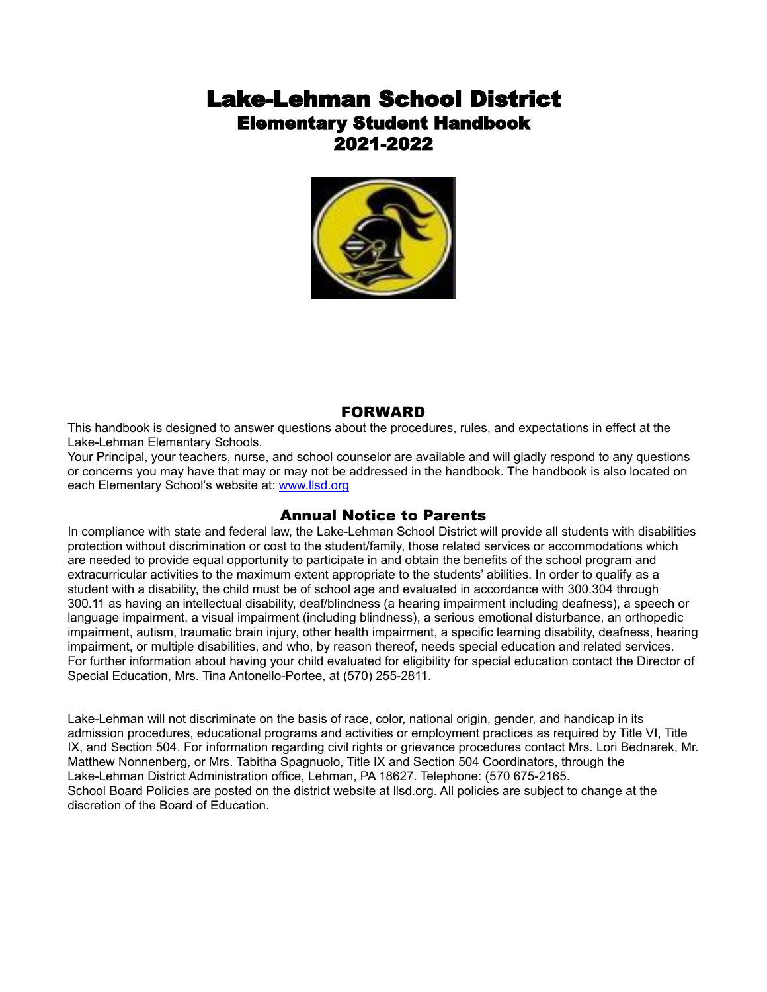# Lake-Lehman School District Elementary Student Handbook 2021-2022



# FORWARD

This handbook is designed to answer questions about the procedures, rules, and expectations in effect at the Lake-Lehman Elementary Schools.

Your Principal, your teachers, nurse, and school counselor are available and will gladly respond to any questions or concerns you may have that may or may not be addressed in the handbook. The handbook is also located on each Elementary School's website at: [www.llsd.org](http://www.llsd.org)

# Annual Notice to Parents

In compliance with state and federal law, the Lake-Lehman School District will provide all students with disabilities protection without discrimination or cost to the student/family, those related services or accommodations which are needed to provide equal opportunity to participate in and obtain the benefits of the school program and extracurricular activities to the maximum extent appropriate to the students' abilities. In order to qualify as a student with a disability, the child must be of school age and evaluated in accordance with 300.304 through 300.11 as having an intellectual disability, deaf/blindness (a hearing impairment including deafness), a speech or language impairment, a visual impairment (including blindness), a serious emotional disturbance, an orthopedic impairment, autism, traumatic brain injury, other health impairment, a specific learning disability, deafness, hearing impairment, or multiple disabilities, and who, by reason thereof, needs special education and related services. For further information about having your child evaluated for eligibility for special education contact the Director of Special Education, Mrs. Tina Antonello-Portee, at (570) 255-2811.

Lake-Lehman will not discriminate on the basis of race, color, national origin, gender, and handicap in its admission procedures, educational programs and activities or employment practices as required by Title VI, Title IX, and Section 504. For information regarding civil rights or grievance procedures contact Mrs. Lori Bednarek, Mr. Matthew Nonnenberg, or Mrs. Tabitha Spagnuolo, Title IX and Section 504 Coordinators, through the Lake-Lehman District Administration office, Lehman, PA 18627. Telephone: (570 675-2165. School Board Policies are posted on the district website at llsd.org. All policies are subject to change at the discretion of the Board of Education.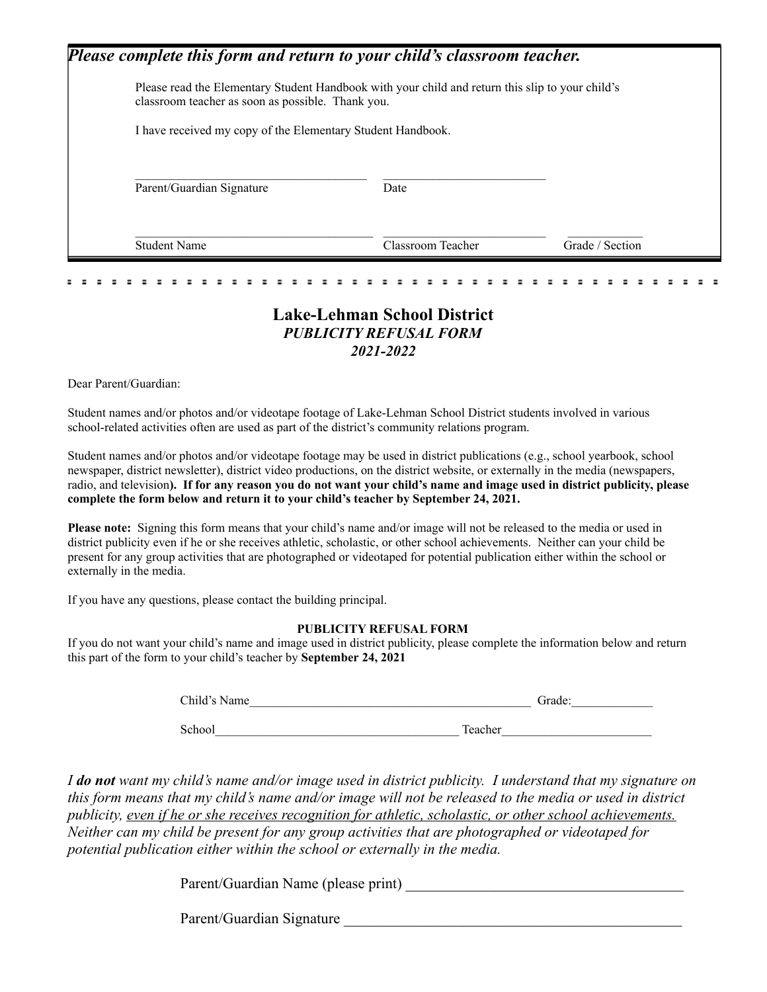| classroom teacher as soon as possible. Thank you.           | Please read the Elementary Student Handbook with your child and return this slip to your child's |  |
|-------------------------------------------------------------|--------------------------------------------------------------------------------------------------|--|
| I have received my copy of the Elementary Student Handbook. |                                                                                                  |  |
|                                                             |                                                                                                  |  |
|                                                             |                                                                                                  |  |
| Parent/Guardian Signature                                   | Date                                                                                             |  |

# **Lake-Lehman School District** *PUBLICITY REFUSAL FORM 2021-2022*

Dear Parent/Guardian:

Student names and/or photos and/or videotape footage of Lake-Lehman School District students involved in various school-related activities often are used as part of the district's community relations program.

Student names and/or photos and/or videotape footage may be used in district publications (e.g., school yearbook, school newspaper, district newsletter), district video productions, on the district website, or externally in the media (newspapers, radio, and television). If for any reason you do not want your child's name and image used in district publicity, please **complete the form below and return it to your child's teacher by September 24, 2021.**

**Please note:** Signing this form means that your child's name and/or image will not be released to the media or used in district publicity even if he or she receives athletic, scholastic, or other school achievements. Neither can your child be present for any group activities that are photographed or videotaped for potential publication either within the school or externally in the media.

If you have any questions, please contact the building principal.

# **PUBLICITY REFUSAL FORM**

If you do not want your child's name and image used in district publicity, please complete the information below and return this part of the form to your child's teacher by **September 24, 2021**

| Child's Name | Grade:  |  |
|--------------|---------|--|
| School       | Teacher |  |

*I do not want my child's name and/or image used in district publicity. I understand that my signature on this form means that my child's name and/or image will not be released to the media or used in district publicity, even if he or she receives recognition for athletic, scholastic, or other school achievements. Neither can my child be present for any group activities that are photographed or videotaped for potential publication either within the school or externally in the media.*

Parent/Guardian Name (please print) \_\_\_\_\_\_\_\_\_\_\_\_\_\_\_\_\_\_\_\_\_\_\_\_\_\_\_\_\_\_\_\_\_\_\_\_\_

Parent/Guardian Signature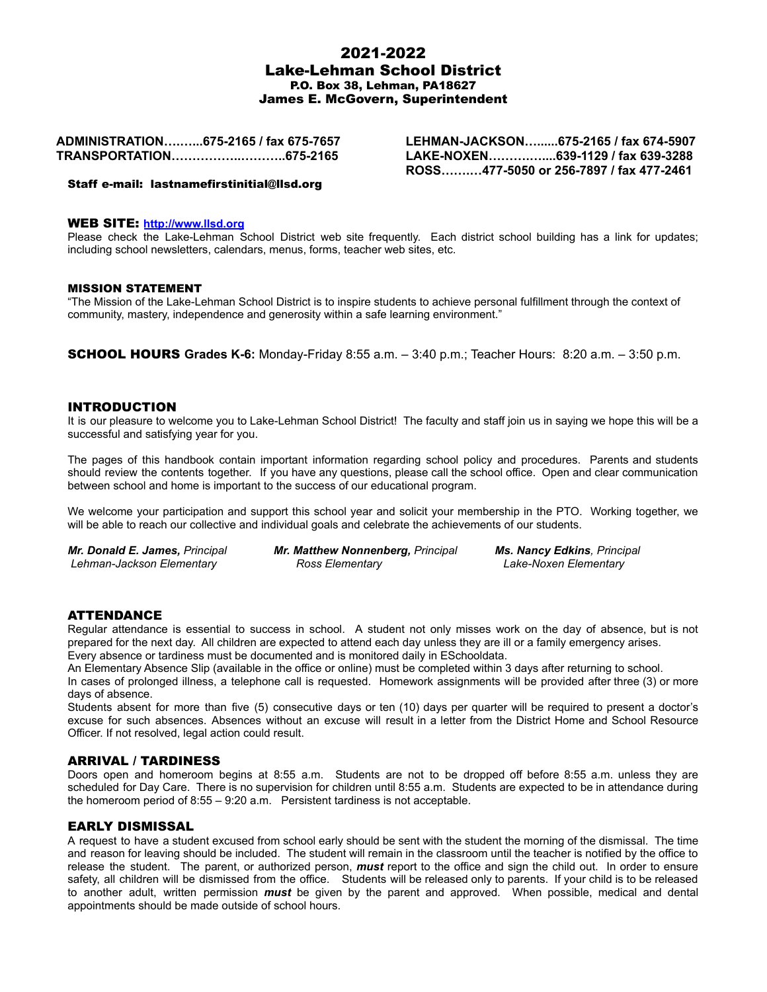# 2021-2022 Lake-Lehman School District P.O. Box 38, Lehman, PA18627 James E. McGovern, Superintendent

**ADMINISTRATION….…...675-2165 / fax 675-7657 TRANSPORTATION……………..………..675-2165**

**LEHMAN-JACKSON…......675-2165 / fax 674-5907 LAKE-NOXEN……….…....639-1129 / fax 639-3288 ROSS…….…477-5050 or 256-7897 / fax 477-2461**

Staff e-mail: lastnamefirstinitial@llsd.org

#### WEB SITE: **<http://www.llsd.org>**

Please check the Lake-Lehman School District web site frequently. Each district school building has a link for updates; including school newsletters, calendars, menus, forms, teacher web sites, etc.

#### MISSION STATEMENT

"The Mission of the Lake-Lehman School District is to inspire students to achieve personal fulfillment through the context of community, mastery, independence and generosity within a safe learning environment."

SCHOOL HOURS **Grades K-6:** Monday-Friday 8:55 a.m. – 3:40 p.m.; Teacher Hours: 8:20 a.m. – 3:50 p.m.

#### INTRODUCTION

It is our pleasure to welcome vou to Lake-Lehman School District! The faculty and staff join us in saying we hope this will be a successful and satisfying year for you.

The pages of this handbook contain important information regarding school policy and procedures. Parents and students should review the contents together. If you have any questions, please call the school office. Open and clear communication between school and home is important to the success of our educational program.

We welcome your participation and support this school year and solicit your membership in the PTO. Working together, we will be able to reach our collective and individual goals and celebrate the achievements of our students.

*Mr. Donald E. James, Principal Mr. Matthew Nonnenberg, Principal Ms. Nancy Edkins, Principal Lehman-Jackson Elementary Ross Elementary Lake-Noxen Elementary*

# ATTENDANCE

Regular attendance is essential to success in school. A student not only misses work on the day of absence, but is not prepared for the next day. All children are expected to attend each day unless they are ill or a family emergency arises. Every absence or tardiness must be documented and is monitored daily in ESchooldata.

An Elementary Absence Slip (available in the office or online) must be completed within 3 days after returning to school.

In cases of prolonged illness, a telephone call is requested. Homework assignments will be provided after three (3) or more days of absence.

Students absent for more than five (5) consecutive days or ten (10) days per quarter will be required to present a doctor's excuse for such absences. Absences without an excuse will result in a letter from the District Home and School Resource Officer. If not resolved, legal action could result.

#### ARRIVAL / TARDINESS

Doors open and homeroom begins at 8:55 a.m. Students are not to be dropped off before 8:55 a.m. unless they are scheduled for Day Care. There is no supervision for children until 8:55 a.m. Students are expected to be in attendance during the homeroom period of 8:55 – 9:20 a.m. Persistent tardiness is not acceptable.

#### EARLY DISMISSAL

A request to have a student excused from school early should be sent with the student the morning of the dismissal. The time and reason for leaving should be included. The student will remain in the classroom until the teacher is notified by the office to release the student. The parent, or authorized person, *must* report to the office and sign the child out. In order to ensure safety, all children will be dismissed from the office. Students will be released only to parents. If your child is to be released to another adult, written permission *must* be given by the parent and approved. When possible, medical and dental appointments should be made outside of school hours.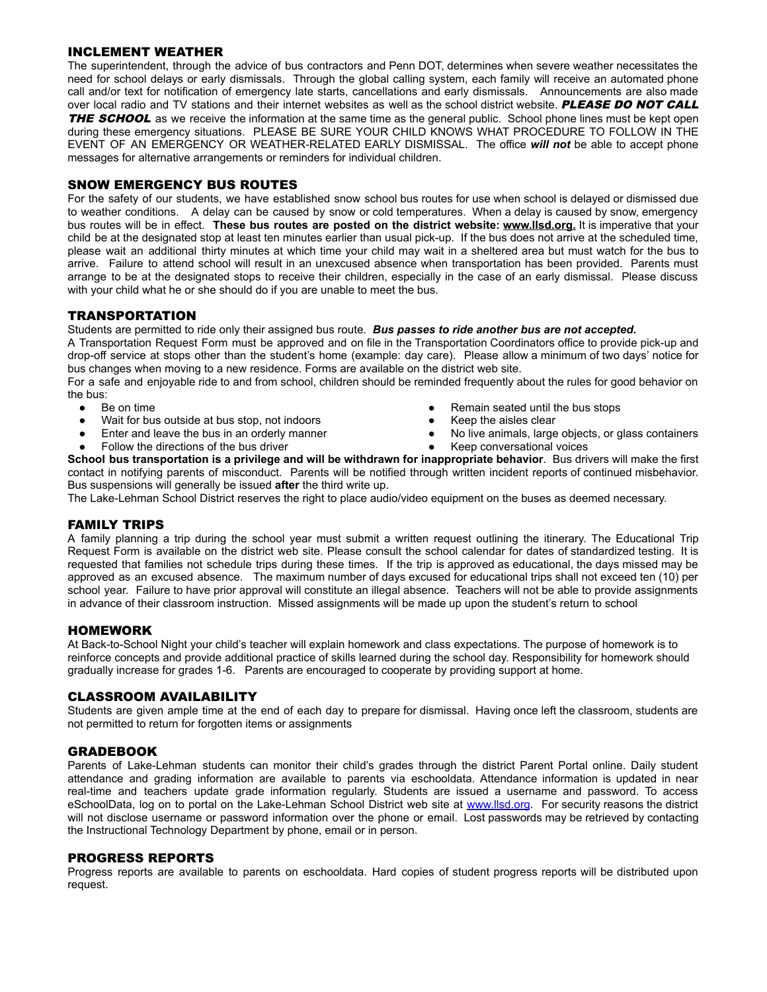# INCLEMENT WEATHER

The superintendent, through the advice of bus contractors and Penn DOT, determines when severe weather necessitates the need for school delays or early dismissals. Through the global calling system, each family will receive an automated phone call and/or text for notification of emergency late starts, cancellations and early dismissals. Announcements are also made over local radio and TV stations and their internet websites as well as the school district website. PLEASE DO NOT CALL THE SCHOOL as we receive the information at the same time as the general public. School phone lines must be kept open during these emergency situations. PLEASE BE SURE YOUR CHILD KNOWS WHAT PROCEDURE TO FOLLOW IN THE EVENT OF AN EMERGENCY OR WEATHER-RELATED EARLY DISMISSAL. The office *will not* be able to accept phone messages for alternative arrangements or reminders for individual children.

#### SNOW EMERGENCY BUS ROUTES

For the safety of our students, we have established snow school bus routes for use when school is delayed or dismissed due to weather conditions. A delay can be caused by snow or cold temperatures. When a delay is caused by snow, emergency bus routes will be in effect. **These bus routes are posted on the district website: www.llsd.org.** It is imperative that your child be at the designated stop at least ten minutes earlier than usual pick-up. If the bus does not arrive at the scheduled time, please wait an additional thirty minutes at which time your child may wait in a sheltered area but must watch for the bus to arrive. Failure to attend school will result in an unexcused absence when transportation has been provided. Parents must arrange to be at the designated stops to receive their children, especially in the case of an early dismissal. Please discuss with your child what he or she should do if you are unable to meet the bus.

# **TRANSPORTATION**

Students are permitted to ride only their assigned bus route. *Bus passes to ride another bus are not accepted.*

A Transportation Request Form must be approved and on file in the Transportation Coordinators office to provide pick-up and drop-off service at stops other than the student's home (example: day care). Please allow a minimum of two days' notice for bus changes when moving to a new residence. Forms are available on the district web site.

For a safe and enjoyable ride to and from school, children should be reminded frequently about the rules for good behavior on the bus:

- Be on time
- Wait for bus outside at bus stop, not indoors
- Enter and leave the bus in an orderly manner
- Follow the directions of the bus driver
- Remain seated until the bus stops
- Keep the aisles clear
- No live animals, large objects, or glass containers
- Keep conversational voices

**School bus transportation is a privilege and will be withdrawn for inappropriate behavior**. Bus drivers will make the first contact in notifying parents of misconduct. Parents will be notified through written incident reports of continued misbehavior. Bus suspensions will generally be issued **after** the third write up.

The Lake-Lehman School District reserves the right to place audio/video equipment on the buses as deemed necessary.

# FAMILY TRIPS

A family planning a trip during the school year must submit a written request outlining the itinerary. The Educational Trip Request Form is available on the district web site. Please consult the school calendar for dates of standardized testing. It is requested that families not schedule trips during these times. If the trip is approved as educational, the days missed may be approved as an excused absence. The maximum number of days excused for educational trips shall not exceed ten (10) per school year. Failure to have prior approval will constitute an illegal absence. Teachers will not be able to provide assignments in advance of their classroom instruction. Missed assignments will be made up upon the student's return to school

#### HOMEWORK

At Back-to-School Night your child's teacher will explain homework and class expectations. The purpose of homework is to reinforce concepts and provide additional practice of skills learned during the school day. Responsibility for homework should gradually increase for grades 1-6. Parents are encouraged to cooperate by providing support at home.

# CLASSROOM AVAILABILITY

Students are given ample time at the end of each day to prepare for dismissal. Having once left the classroom, students are not permitted to return for forgotten items or assignments

# GRADEBOOK

Parents of Lake-Lehman students can monitor their child's grades through the district Parent Portal online. Daily student attendance and grading information are available to parents via eschooldata. Attendance information is updated in near real-time and teachers update grade information regularly. Students are issued a username and password. To access eSchoolData, log on to portal on the Lake-Lehman School District web site at [www.llsd.org](http://www.llsd.org). For security reasons the district will not disclose username or password information over the phone or email. Lost passwords may be retrieved by contacting the Instructional Technology Department by phone, email or in person.

#### PROGRESS REPORTS

Progress reports are available to parents on eschooldata. Hard copies of student progress reports will be distributed upon request.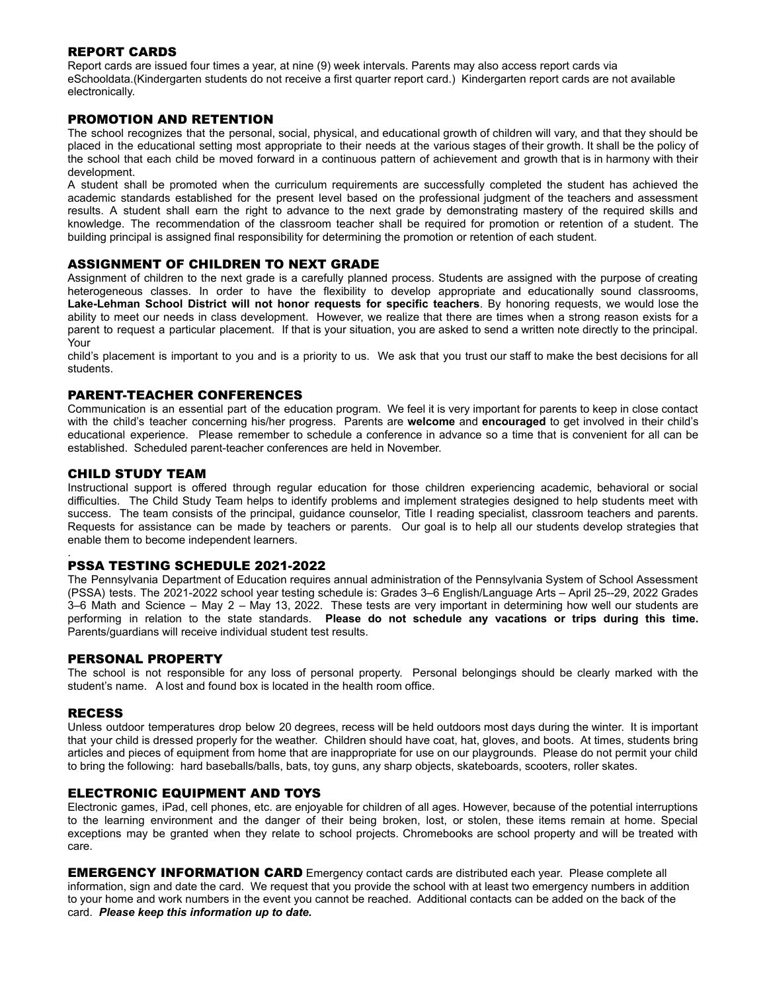# REPORT CARDS

Report cards are issued four times a year, at nine (9) week intervals. Parents may also access report cards via eSchooldata.(Kindergarten students do not receive a first quarter report card.) Kindergarten report cards are not available electronically.

# PROMOTION AND RETENTION

The school recognizes that the personal, social, physical, and educational growth of children will vary, and that they should be placed in the educational setting most appropriate to their needs at the various stages of their growth. It shall be the policy of the school that each child be moved forward in a continuous pattern of achievement and growth that is in harmony with their development.

A student shall be promoted when the curriculum requirements are successfully completed the student has achieved the academic standards established for the present level based on the professional judgment of the teachers and assessment results. A student shall earn the right to advance to the next grade by demonstrating mastery of the required skills and knowledge. The recommendation of the classroom teacher shall be required for promotion or retention of a student. The building principal is assigned final responsibility for determining the promotion or retention of each student.

# ASSIGNMENT OF CHILDREN TO NEXT GRADE

Assignment of children to the next grade is a carefully planned process. Students are assigned with the purpose of creating heterogeneous classes. In order to have the flexibility to develop appropriate and educationally sound classrooms, **Lake-Lehman School District will not honor requests for specific teachers**. By honoring requests, we would lose the ability to meet our needs in class development. However, we realize that there are times when a strong reason exists for a parent to request a particular placement. If that is your situation, you are asked to send a written note directly to the principal. Your

child's placement is important to you and is a priority to us. We ask that you trust our staff to make the best decisions for all students.

#### PARENT-TEACHER CONFERENCES

Communication is an essential part of the education program. We feel it is very important for parents to keep in close contact with the child's teacher concerning his/her progress. Parents are **welcome** and **encouraged** to get involved in their child's educational experience. Please remember to schedule a conference in advance so a time that is convenient for all can be established. Scheduled parent-teacher conferences are held in November.

#### CHILD STUDY TEAM

Instructional support is offered through regular education for those children experiencing academic, behavioral or social difficulties. The Child Study Team helps to identify problems and implement strategies designed to help students meet with success. The team consists of the principal, guidance counselor, Title I reading specialist, classroom teachers and parents. Requests for assistance can be made by teachers or parents. Our goal is to help all our students develop strategies that enable them to become independent learners.

#### . PSSA TESTING SCHEDULE 2021-2022

The Pennsylvania Department of Education requires annual administration of the Pennsylvania System of School Assessment (PSSA) tests. The 2021-2022 school year testing schedule is: Grades 3–6 English/Language Arts – April 25--29, 2022 Grades 3–6 Math and Science – May 2 – May 13, 2022. These tests are very important in determining how well our students are performing in relation to the state standards. **Please do not schedule any vacations or trips during this time.** Parents/guardians will receive individual student test results.

# PERSONAL PROPERTY

The school is not responsible for any loss of personal property. Personal belongings should be clearly marked with the student's name. A lost and found box is located in the health room office.

#### RECESS

Unless outdoor temperatures drop below 20 degrees, recess will be held outdoors most days during the winter. It is important that your child is dressed properly for the weather. Children should have coat, hat, gloves, and boots. At times, students bring articles and pieces of equipment from home that are inappropriate for use on our playgrounds. Please do not permit your child to bring the following: hard baseballs/balls, bats, toy guns, any sharp objects, skateboards, scooters, roller skates.

#### ELECTRONIC EQUIPMENT AND TOYS

Electronic games, iPad, cell phones, etc. are enjoyable for children of all ages. However, because of the potential interruptions to the learning environment and the danger of their being broken, lost, or stolen, these items remain at home. Special exceptions may be granted when they relate to school projects. Chromebooks are school property and will be treated with care.

**EMERGENCY INFORMATION CARD** Emergency contact cards are distributed each year. Please complete all information, sign and date the card. We request that you provide the school with at least two emergency numbers in addition to your home and work numbers in the event you cannot be reached. Additional contacts can be added on the back of the card. *Please keep this information up to date.*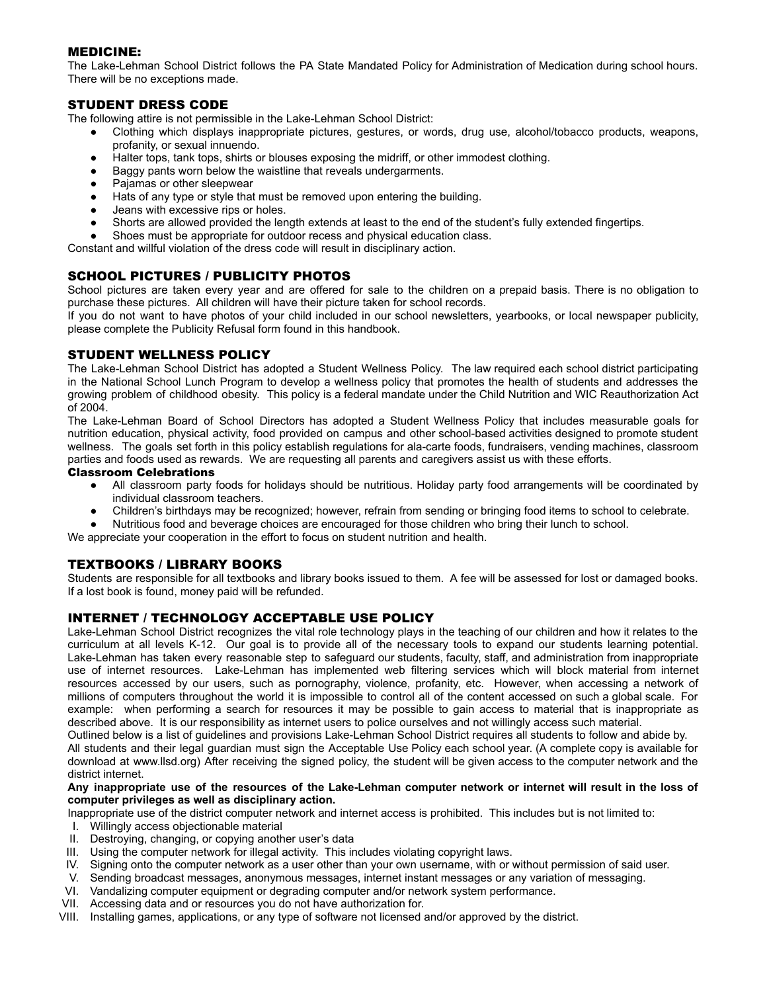# MEDICINE:

The Lake-Lehman School District follows the PA State Mandated Policy for Administration of Medication during school hours. There will be no exceptions made.

# STUDENT DRESS CODE

The following attire is not permissible in the Lake-Lehman School District:

- Clothing which displays inappropriate pictures, gestures, or words, drug use, alcohol/tobacco products, weapons, profanity, or sexual innuendo.
- Halter tops, tank tops, shirts or blouses exposing the midriff, or other immodest clothing.
- Baggy pants worn below the waistline that reveals undergarments.
- Pajamas or other sleepwear
- Hats of any type or style that must be removed upon entering the building.
- Jeans with excessive rips or holes.
- Shorts are allowed provided the length extends at least to the end of the student's fully extended fingertips.
- Shoes must be appropriate for outdoor recess and physical education class.

Constant and willful violation of the dress code will result in disciplinary action.

# SCHOOL PICTURES / PUBLICITY PHOTOS

School pictures are taken every year and are offered for sale to the children on a prepaid basis. There is no obligation to purchase these pictures. All children will have their picture taken for school records.

If you do not want to have photos of your child included in our school newsletters, yearbooks, or local newspaper publicity, please complete the Publicity Refusal form found in this handbook.

#### STUDENT WELLNESS POLICY

The Lake-Lehman School District has adopted a Student Wellness Policy. The law required each school district participating in the National School Lunch Program to develop a wellness policy that promotes the health of students and addresses the growing problem of childhood obesity. This policy is a federal mandate under the Child Nutrition and WIC Reauthorization Act of 2004.

The Lake-Lehman Board of School Directors has adopted a Student Wellness Policy that includes measurable goals for nutrition education, physical activity, food provided on campus and other school-based activities designed to promote student wellness. The goals set forth in this policy establish regulations for ala-carte foods, fundraisers, vending machines, classroom parties and foods used as rewards. We are requesting all parents and caregivers assist us with these efforts.

#### Classroom Celebrations

- All classroom party foods for holidays should be nutritious. Holiday party food arrangements will be coordinated by individual classroom teachers.
- Children's birthdays may be recognized; however, refrain from sending or bringing food items to school to celebrate.
- Nutritious food and beverage choices are encouraged for those children who bring their lunch to school.

We appreciate your cooperation in the effort to focus on student nutrition and health.

# TEXTBOOKS / LIBRARY BOOKS

Students are responsible for all textbooks and library books issued to them. A fee will be assessed for lost or damaged books. If a lost book is found, money paid will be refunded.

#### INTERNET / TECHNOLOGY ACCEPTABLE USE POLICY

Lake-Lehman School District recognizes the vital role technology plays in the teaching of our children and how it relates to the curriculum at all levels K-12. Our goal is to provide all of the necessary tools to expand our students learning potential. Lake-Lehman has taken every reasonable step to safeguard our students, faculty, staff, and administration from inappropriate use of internet resources. Lake-Lehman has implemented web filtering services which will block material from internet resources accessed by our users, such as pornography, violence, profanity, etc. However, when accessing a network of millions of computers throughout the world it is impossible to control all of the content accessed on such a global scale. For example: when performing a search for resources it may be possible to gain access to material that is inappropriate as described above. It is our responsibility as internet users to police ourselves and not willingly access such material.

Outlined below is a list of guidelines and provisions Lake-Lehman School District requires all students to follow and abide by. All students and their legal guardian must sign the Acceptable Use Policy each school year. (A complete copy is available for download at www.llsd.org) After receiving the signed policy, the student will be given access to the computer network and the district internet.

#### Any inappropriate use of the resources of the Lake-Lehman computer network or internet will result in the loss of **computer privileges as well as disciplinary action.**

Inappropriate use of the district computer network and internet access is prohibited. This includes but is not limited to:

- I. Willingly access objectionable material
- II. Destroying, changing, or copying another user's data
- III. Using the computer network for illegal activity. This includes violating copyright laws.
- IV. Signing onto the computer network as a user other than your own username, with or without permission of said user.
- V. Sending broadcast messages, anonymous messages, internet instant messages or any variation of messaging.
- VI. Vandalizing computer equipment or degrading computer and/or network system performance.
- VII. Accessing data and or resources you do not have authorization for.
- VIII. Installing games, applications, or any type of software not licensed and/or approved by the district.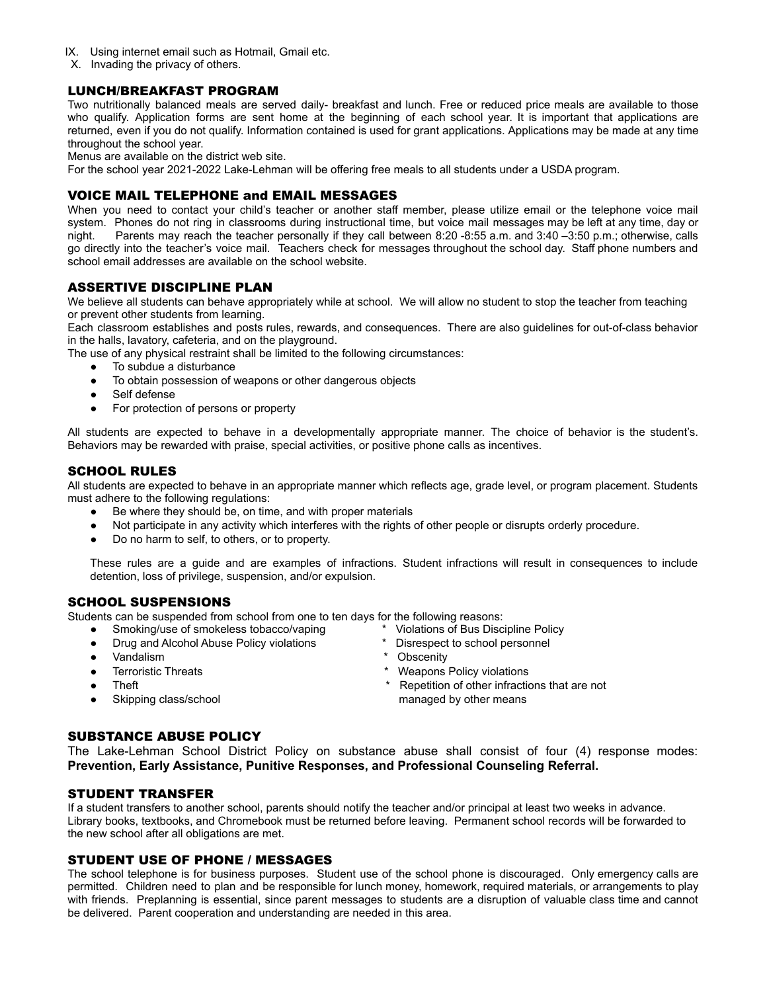- IX. Using internet email such as Hotmail, Gmail etc.
- X. Invading the privacy of others.

#### LUNCH/BREAKFAST PROGRAM

Two nutritionally balanced meals are served daily- breakfast and lunch. Free or reduced price meals are available to those who qualify. Application forms are sent home at the beginning of each school year. It is important that applications are returned, even if you do not qualify. Information contained is used for grant applications. Applications may be made at any time throughout the school year.

Menus are available on the district web site.

For the school year 2021-2022 Lake-Lehman will be offering free meals to all students under a USDA program.

# VOICE MAIL TELEPHONE and EMAIL MESSAGES

When you need to contact your child's teacher or another staff member, please utilize email or the telephone voice mail system. Phones do not ring in classrooms during instructional time, but voice mail messages may be left at any time, day or night. Parents may reach the teacher personally if they call between 8:20 -8:55 a.m. and 3:40 –3:50 p.m.; otherwise, calls go directly into the teacher's voice mail. Teachers check for messages throughout the school day. Staff phone numbers and school email addresses are available on the school website.

#### ASSERTIVE DISCIPLINE PLAN

We believe all students can behave appropriately while at school. We will allow no student to stop the teacher from teaching or prevent other students from learning.

Each classroom establishes and posts rules, rewards, and consequences. There are also guidelines for out-of-class behavior in the halls, lavatory, cafeteria, and on the playground.

The use of any physical restraint shall be limited to the following circumstances:

- To subdue a disturbance
- To obtain possession of weapons or other dangerous objects
- Self defense
- For protection of persons or property

All students are expected to behave in a developmentally appropriate manner. The choice of behavior is the student's. Behaviors may be rewarded with praise, special activities, or positive phone calls as incentives.

# SCHOOL RULES

All students are expected to behave in an appropriate manner which reflects age, grade level, or program placement. Students must adhere to the following regulations:

- Be where they should be, on time, and with proper materials
- Not participate in any activity which interferes with the rights of other people or disrupts orderly procedure.
- Do no harm to self, to others, or to property.

These rules are a guide and are examples of infractions. Student infractions will result in consequences to include detention, loss of privilege, suspension, and/or expulsion.

#### SCHOOL SUSPENSIONS

Students can be suspended from school from one to ten days for the following reasons:

- Smoking/use of smokeless tobacco/vaping \* Violations of Bus Discipline Policy
- Drug and Alcohol Abuse Policy violations \* Disrespect to school personnel
- Vandalism \* Obscenity
- 
- 
- 
- 
- 
- 
- Terroristic Threats **Figure 2018 CONFIDENT EXECUTE:**  $\star$  Weapons Policy violations
- Theft Theft **\*** Repetition of other infractions that are not ● Skipping class/school managed by other means

# SUBSTANCE ABUSE POLICY

The Lake-Lehman School District Policy on substance abuse shall consist of four (4) response modes: **Prevention, Early Assistance, Punitive Responses, and Professional Counseling Referral.**

#### STUDENT TRANSFER

If a student transfers to another school, parents should notify the teacher and/or principal at least two weeks in advance. Library books, textbooks, and Chromebook must be returned before leaving. Permanent school records will be forwarded to the new school after all obligations are met.

#### STUDENT USE OF PHONE / MESSAGES

The school telephone is for business purposes. Student use of the school phone is discouraged. Only emergency calls are permitted. Children need to plan and be responsible for lunch money, homework, required materials, or arrangements to play with friends. Preplanning is essential, since parent messages to students are a disruption of valuable class time and cannot be delivered. Parent cooperation and understanding are needed in this area.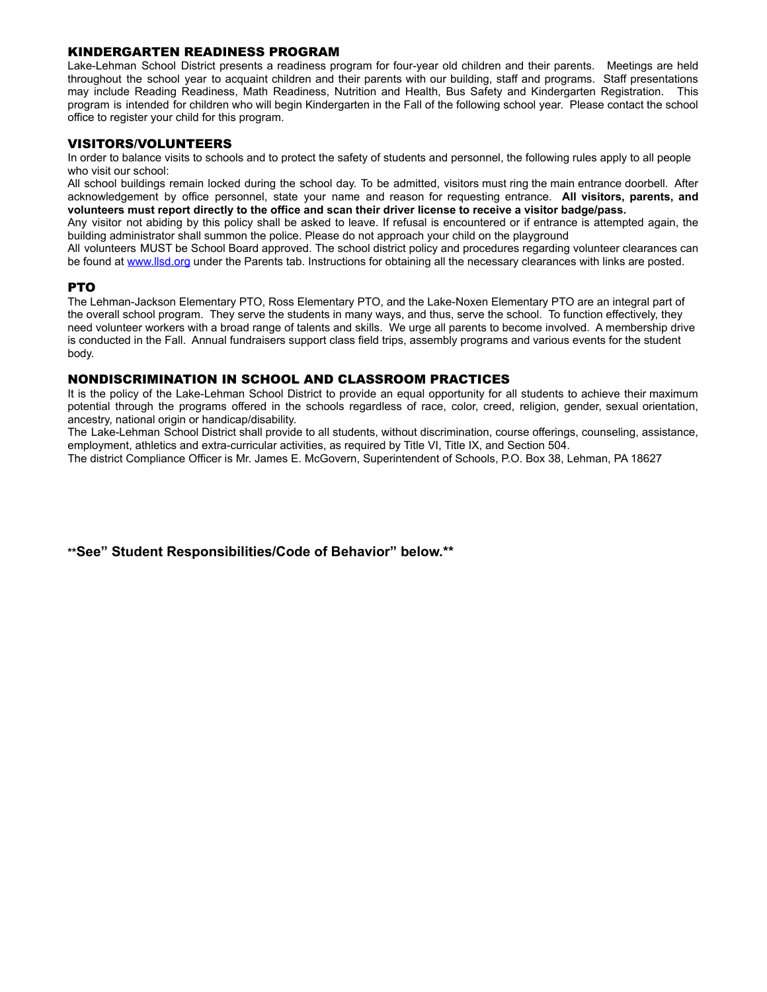# KINDERGARTEN READINESS PROGRAM

Lake-Lehman School District presents a readiness program for four-year old children and their parents. Meetings are held throughout the school year to acquaint children and their parents with our building, staff and programs. Staff presentations may include Reading Readiness, Math Readiness, Nutrition and Health, Bus Safety and Kindergarten Registration. This program is intended for children who will begin Kindergarten in the Fall of the following school year. Please contact the school office to register your child for this program.

#### VISITORS/VOLUNTEERS

In order to balance visits to schools and to protect the safety of students and personnel, the following rules apply to all people who visit our school:

All school buildings remain locked during the school day. To be admitted, visitors must ring the main entrance doorbell. After acknowledgement by office personnel, state your name and reason for requesting entrance. **All visitors, parents, and volunteers must report directly to the office and scan their driver license to receive a visitor badge/pass.**

Any visitor not abiding by this policy shall be asked to leave. If refusal is encountered or if entrance is attempted again, the building administrator shall summon the police. Please do not approach your child on the playground

All volunteers MUST be School Board approved. The school district policy and procedures regarding volunteer clearances can be found at [www.llsd.org](http://www.llsd.org) under the Parents tab. Instructions for obtaining all the necessary clearances with links are posted.

# PTO

The Lehman-Jackson Elementary PTO, Ross Elementary PTO, and the Lake-Noxen Elementary PTO are an integral part of the overall school program. They serve the students in many ways, and thus, serve the school. To function effectively, they need volunteer workers with a broad range of talents and skills. We urge all parents to become involved. A membership drive is conducted in the Fall. Annual fundraisers support class field trips, assembly programs and various events for the student body.

#### NONDISCRIMINATION IN SCHOOL AND CLASSROOM PRACTICES

It is the policy of the Lake-Lehman School District to provide an equal opportunity for all students to achieve their maximum potential through the programs offered in the schools regardless of race, color, creed, religion, gender, sexual orientation, ancestry, national origin or handicap/disability.

The Lake-Lehman School District shall provide to all students, without discrimination, course offerings, counseling, assistance, employment, athletics and extra-curricular activities, as required by Title VI, Title IX, and Section 504.

The district Compliance Officer is Mr. James E. McGovern, Superintendent of Schools, P.O. Box 38, Lehman, PA 18627

**\*\*See" Student Responsibilities/Code of Behavior" below.\*\***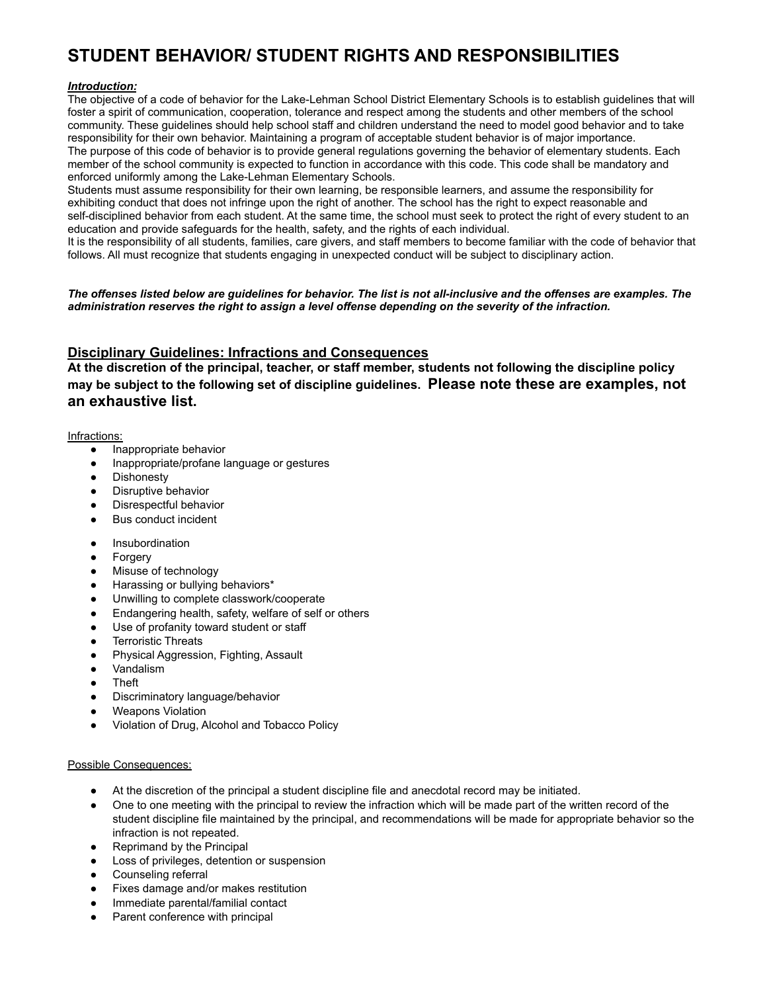# **STUDENT BEHAVIOR/ STUDENT RIGHTS AND RESPONSIBILITIES**

# *Introduction:*

The objective of a code of behavior for the Lake-Lehman School District Elementary Schools is to establish guidelines that will foster a spirit of communication, cooperation, tolerance and respect among the students and other members of the school community. These guidelines should help school staff and children understand the need to model good behavior and to take responsibility for their own behavior. Maintaining a program of acceptable student behavior is of major importance. The purpose of this code of behavior is to provide general regulations governing the behavior of elementary students. Each member of the school community is expected to function in accordance with this code. This code shall be mandatory and enforced uniformly among the Lake-Lehman Elementary Schools.

Students must assume responsibility for their own learning, be responsible learners, and assume the responsibility for exhibiting conduct that does not infringe upon the right of another. The school has the right to expect reasonable and self-disciplined behavior from each student. At the same time, the school must seek to protect the right of every student to an education and provide safeguards for the health, safety, and the rights of each individual.

It is the responsibility of all students, families, care givers, and staff members to become familiar with the code of behavior that follows. All must recognize that students engaging in unexpected conduct will be subject to disciplinary action.

#### *The offenses listed below are guidelines for behavior. The list is not all-inclusive and the offenses are examples. The administration reserves the right to assign a level offense depending on the severity of the infraction.*

# **Disciplinary Guidelines: Infractions and Consequences**

**At the discretion of the principal, teacher, or staff member, students not following the discipline policy may be subject to the following set of discipline guidelines. Please note these are examples, not an exhaustive list.**

#### Infractions:

- Inappropriate behavior
- Inappropriate/profane language or gestures
- Dishonesty
- Disruptive behavior
- Disrespectful behavior
- **Bus conduct incident**
- **Insubordination**
- **Forgery**
- Misuse of technology
- Harassing or bullying behaviors\*
- Unwilling to complete classwork/cooperate
- Endangering health, safety, welfare of self or others
- Use of profanity toward student or staff
- **Terroristic Threats**
- Physical Aggression, Fighting, Assault
- Vandalism
- **Theft**
- Discriminatory language/behavior
- **Weapons Violation**
- Violation of Drug, Alcohol and Tobacco Policy

#### Possible Consequences:

- At the discretion of the principal a student discipline file and anecdotal record may be initiated.
- One to one meeting with the principal to review the infraction which will be made part of the written record of the student discipline file maintained by the principal, and recommendations will be made for appropriate behavior so the infraction is not repeated.
- Reprimand by the Principal
- Loss of privileges, detention or suspension
- Counseling referral
- Fixes damage and/or makes restitution
- Immediate parental/familial contact
- Parent conference with principal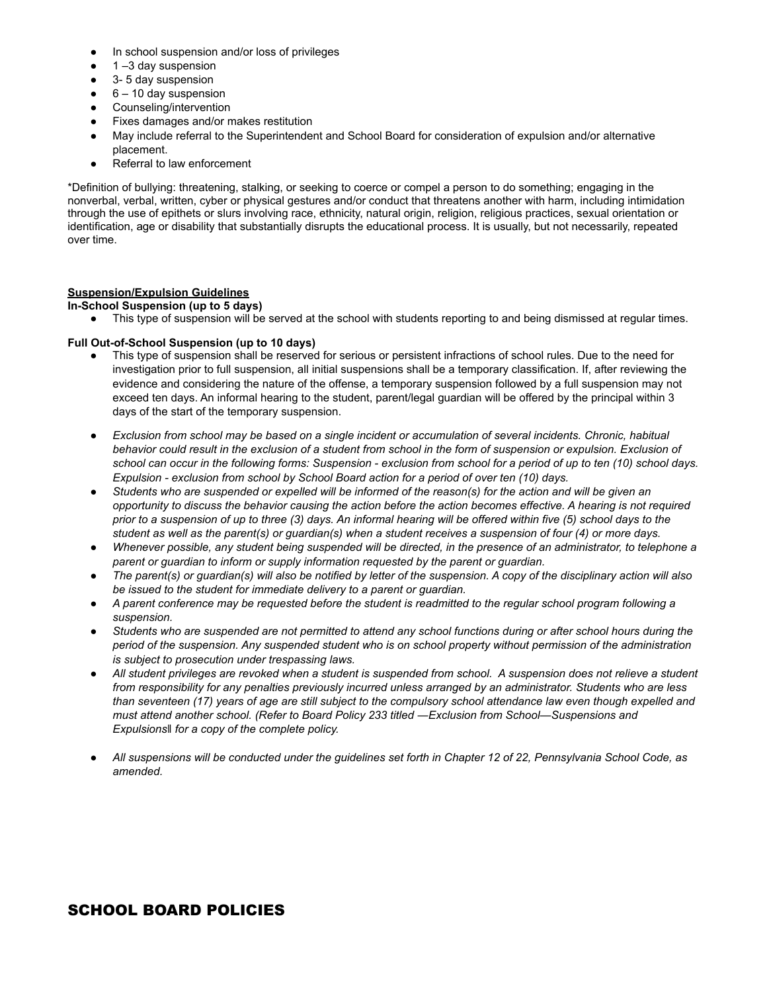- In school suspension and/or loss of privileges
- 1 –3 day suspension
- 3- 5 day suspension
- $\bullet$  6 10 day suspension
- Counseling/intervention
- Fixes damages and/or makes restitution
- May include referral to the Superintendent and School Board for consideration of expulsion and/or alternative placement.
- Referral to law enforcement

\*Definition of bullying: threatening, stalking, or seeking to coerce or compel a person to do something; engaging in the nonverbal, verbal, written, cyber or physical gestures and/or conduct that threatens another with harm, including intimidation through the use of epithets or slurs involving race, ethnicity, natural origin, religion, religious practices, sexual orientation or identification, age or disability that substantially disrupts the educational process. It is usually, but not necessarily, repeated over time.

# **Suspension/Expulsion Guidelines**

# **In-School Suspension (up to 5 days)**

● This type of suspension will be served at the school with students reporting to and being dismissed at regular times.

# **Full Out-of-School Suspension (up to 10 days)**

- This type of suspension shall be reserved for serious or persistent infractions of school rules. Due to the need for investigation prior to full suspension, all initial suspensions shall be a temporary classification. If, after reviewing the evidence and considering the nature of the offense, a temporary suspension followed by a full suspension may not exceed ten days. An informal hearing to the student, parent/legal guardian will be offered by the principal within 3 days of the start of the temporary suspension.
- *● Exclusion from school may be based on a single incident or accumulation of several incidents. Chronic, habitual behavior could result in the exclusion of a student from school in the form of suspension or expulsion. Exclusion of school can occur in the following forms: Suspension - exclusion from school for a period of up to ten (10) school days. Expulsion - exclusion from school by School Board action for a period of over ten (10) days.*
- *● Students who are suspended or expelled will be informed of the reason(s) for the action and will be given an opportunity to discuss the behavior causing the action before the action becomes effective. A hearing is not required prior to a suspension of up to three (3) days. An informal hearing will be offered within five (5) school days to the student as well as the parent(s) or guardian(s) when a student receives a suspension of four (4) or more days.*
- *● Whenever possible, any student being suspended will be directed, in the presence of an administrator, to telephone a parent or guardian to inform or supply information requested by the parent or guardian.*
- *● The parent(s) or guardian(s) will also be notified by letter of the suspension. A copy of the disciplinary action will also be issued to the student for immediate delivery to a parent or guardian.*
- *● A parent conference may be requested before the student is readmitted to the regular school program following a suspension.*
- *● Students who are suspended are not permitted to attend any school functions during or after school hours during the period of the suspension. Any suspended student who is on school property without permission of the administration is subject to prosecution under trespassing laws.*
- *● All student privileges are revoked when a student is suspended from school. A suspension does not relieve a student from responsibility for any penalties previously incurred unless arranged by an administrator. Students who are less than seventeen (17) years of age are still subject to the compulsory school attendance law even though expelled and must attend another school. (Refer to Board Policy 233 titled ―Exclusion from School—Suspensions and Expulsions‖ for a copy of the complete policy.*
- *● All suspensions will be conducted under the guidelines set forth in Chapter 12 of 22, Pennsylvania School Code, as amended.*

# SCHOOL BOARD POLICIES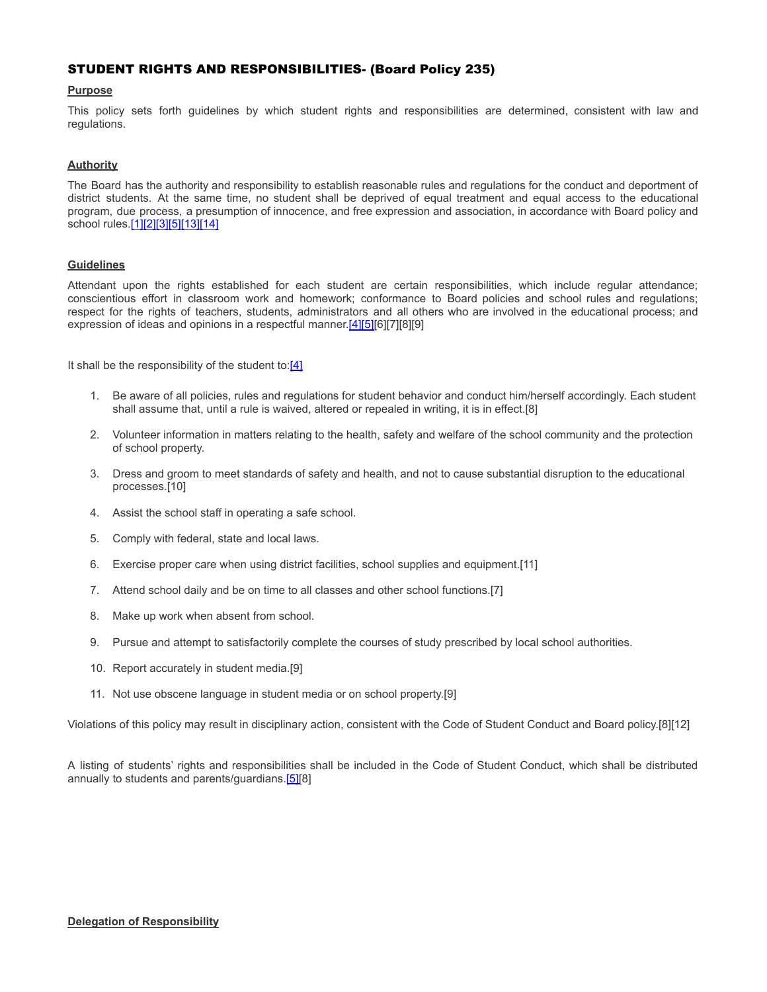# STUDENT RIGHTS AND RESPONSIBILITIES- (Board Policy 235)

#### **Purpose**

This policy sets forth guidelines by which student rights and responsibilities are determined, consistent with law and regulations.

#### **Authority**

The Board has the authority and responsibility to establish reasonable rules and regulations for the conduct and deportment of district students. At the same time, no student shall be deprived of equal treatment and equal access to the educational program, due process, a presumption of innocence, and free expression and association, in accordance with Board policy and school rules.[\[1\]](http://www.legis.state.pa.us/cfdocs/legis/LI/uconsCheck.cfm?txtType=HTM&yr=1949&sessInd=0&smthLwInd=0&act=14&chpt=5&sctn=10&subsctn=0)[\[2\]](http://pacodeandbulletin.gov/Display/pacode?file=/secure/pacode/data/022/chapter4/s4.4.html&d=reduce)[\[3\]](http://pacodeandbulletin.gov/Display/pacode?file=/secure/pacode/data/022/chapter12/s12.1.html&d=reduce)[\[5\]](http://pacodeandbulletin.gov/Display/pacode?file=/secure/pacode/data/022/chapter12/s12.3.html&d=reduce)[\[13\]](http://pacodeandbulletin.gov/Display/pacode?file=/secure/pacode/data/022/chapter12/s12.4.html&d=reduce)[\[14\]](http://pacodeandbulletin.gov/Display/pacode?file=/secure/pacode/data/022/chapter12/s12.9.html&d=reduce)

#### **Guidelines**

Attendant upon the rights established for each student are certain responsibilities, which include regular attendance; conscientious effort in classroom work and homework; conformance to Board policies and school rules and regulations; respect for the rights of teachers, students, administrators and all others who are involved in the educational process; and expression of ideas and opinions in a respectful manner.[\[4\]](http://pacodeandbulletin.gov/Display/pacode?file=/secure/pacode/data/022/chapter12/s12.2.html&d=reduce)[\[5\]\[](http://pacodeandbulletin.gov/Display/pacode?file=/secure/pacode/data/022/chapter12/s12.3.html&d=reduce)6][7][8][9]

It shall be the responsibility of the student to: $[4]$ 

- 1. Be aware of all policies, rules and regulations for student behavior and conduct him/herself accordingly. Each student shall assume that, until a rule is waived, altered or repealed in writing, it is in effect.[8]
- 2. Volunteer information in matters relating to the health, safety and welfare of the school community and the protection of school property.
- 3. Dress and groom to meet standards of safety and health, and not to cause substantial disruption to the educational processes.[10]
- 4. Assist the school staff in operating a safe school.
- 5. Comply with federal, state and local laws.
- 6. Exercise proper care when using district facilities, school supplies and equipment.[11]
- 7. Attend school daily and be on time to all classes and other school functions.[7]
- 8. Make up work when absent from school.
- 9. Pursue and attempt to satisfactorily complete the courses of study prescribed by local school authorities.
- 10. Report accurately in student media.[9]
- 11. Not use obscene language in student media or on school property.[9]

Violations of this policy may result in disciplinary action, consistent with the Code of Student Conduct and Board policy.[8][12]

A listing of students' rights and responsibilities shall be included in the Code of Student Conduct, which shall be distributed annually to students and parents/guardians.[\[5\]\[](http://pacodeandbulletin.gov/Display/pacode?file=/secure/pacode/data/022/chapter12/s12.3.html&d=reduce)8]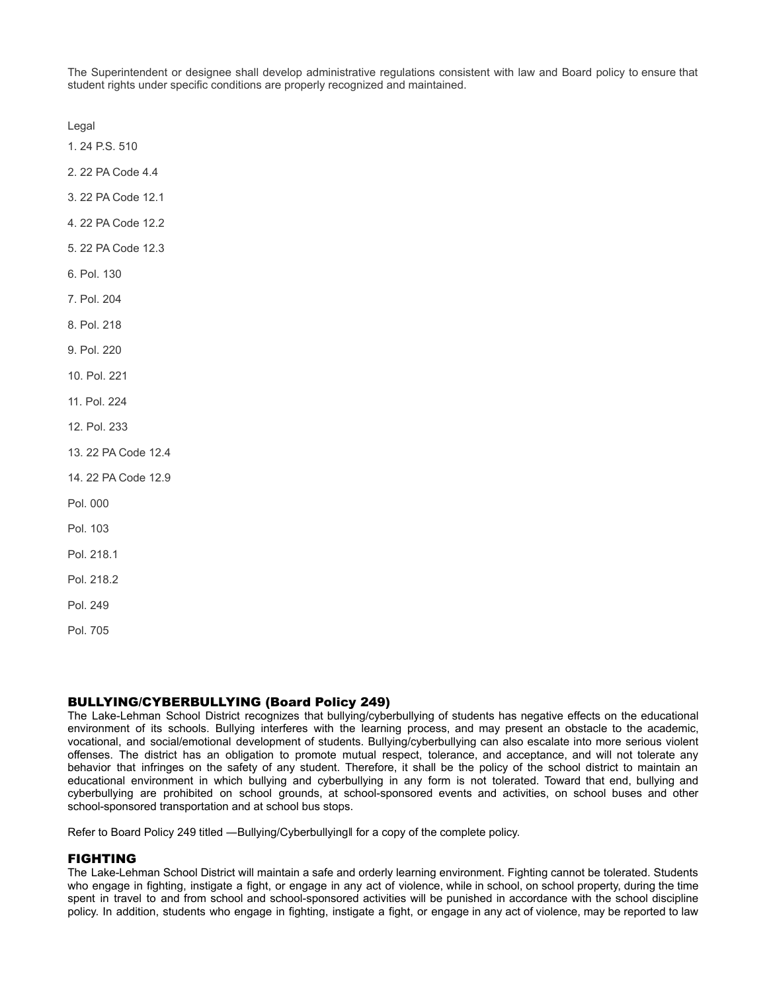The Superintendent or designee shall develop administrative regulations consistent with law and Board policy to ensure that student rights under specific conditions are properly recognized and maintained.

Legal

[1. 24 P.S. 510](http://www.legis.state.pa.us/cfdocs/legis/LI/uconsCheck.cfm?txtType=HTM&yr=1949&sessInd=0&smthLwInd=0&act=14&chpt=5&sctn=10&subsctn=0)

[2. 22 PA Code 4.4](http://pacodeandbulletin.gov/Display/pacode?file=/secure/pacode/data/022/chapter4/s4.4.html&d=reduce)

- [3. 22 PA Code 12.1](http://pacodeandbulletin.gov/Display/pacode?file=/secure/pacode/data/022/chapter12/s12.1.html&d=reduce)
- [4. 22 PA Code 12.2](http://pacodeandbulletin.gov/Display/pacode?file=/secure/pacode/data/022/chapter12/s12.2.html&d=reduce)
- [5. 22 PA Code 12.3](http://pacodeandbulletin.gov/Display/pacode?file=/secure/pacode/data/022/chapter12/s12.3.html&d=reduce)
- 6. Pol. 130
- 7. Pol. 204
- 8. Pol. 218
- 9. Pol. 220
- 10. Pol. 221

11. Pol. 224

- 12. Pol. 233
- [13. 22 PA Code 12.4](http://pacodeandbulletin.gov/Display/pacode?file=/secure/pacode/data/022/chapter12/s12.4.html&d=reduce)
- [14. 22 PA Code 12.9](http://pacodeandbulletin.gov/Display/pacode?file=/secure/pacode/data/022/chapter12/s12.9.html&d=reduce)

Pol. 000

- Pol. 103
- Pol. 218.1

Pol. 218.2

- Pol. 249
- Pol. 705

# BULLYING/CYBERBULLYING (Board Policy 249)

The Lake-Lehman School District recognizes that bullying/cyberbullying of students has negative effects on the educational environment of its schools. Bullying interferes with the learning process, and may present an obstacle to the academic, vocational, and social/emotional development of students. Bullying/cyberbullying can also escalate into more serious violent offenses. The district has an obligation to promote mutual respect, tolerance, and acceptance, and will not tolerate any behavior that infringes on the safety of any student. Therefore, it shall be the policy of the school district to maintain an educational environment in which bullying and cyberbullying in any form is not tolerated. Toward that end, bullying and cyberbullying are prohibited on school grounds, at school-sponsored events and activities, on school buses and other school-sponsored transportation and at school bus stops.

Refer to Board Policy 249 titled —Bullying/Cyberbullyingll for a copy of the complete policy.

#### FIGHTING

The Lake-Lehman School District will maintain a safe and orderly learning environment. Fighting cannot be tolerated. Students who engage in fighting, instigate a fight, or engage in any act of violence, while in school, on school property, during the time spent in travel to and from school and school-sponsored activities will be punished in accordance with the school discipline policy. In addition, students who engage in fighting, instigate a fight, or engage in any act of violence, may be reported to law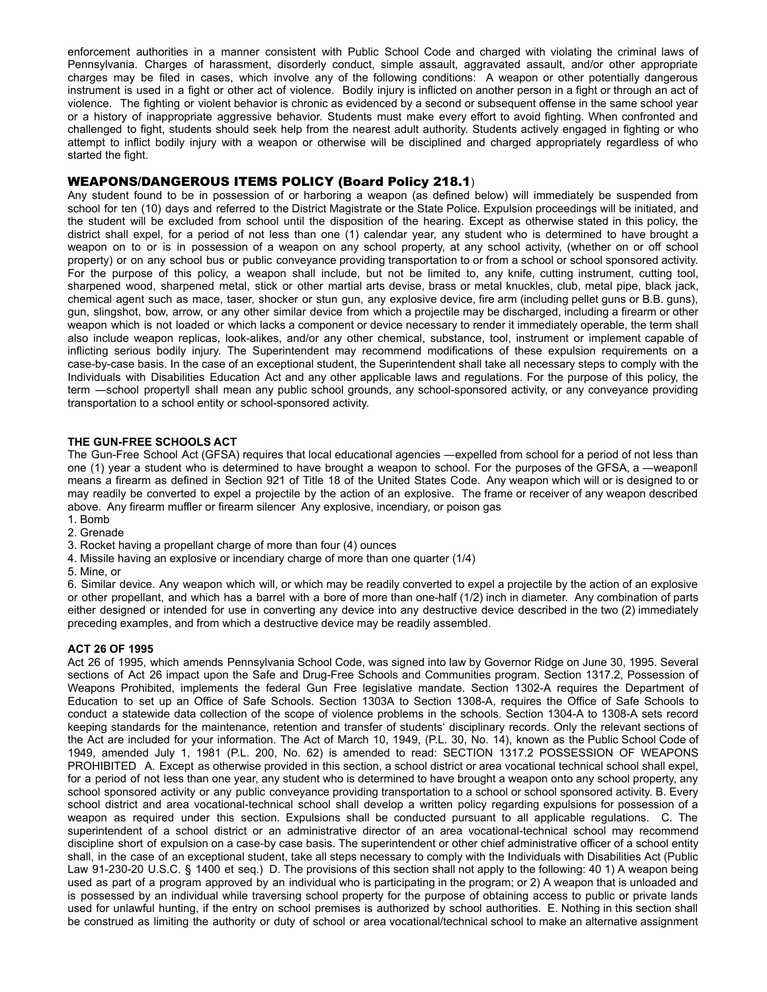enforcement authorities in a manner consistent with Public School Code and charged with violating the criminal laws of Pennsylvania. Charges of harassment, disorderly conduct, simple assault, aggravated assault, and/or other appropriate charges may be filed in cases, which involve any of the following conditions: A weapon or other potentially dangerous instrument is used in a fight or other act of violence. Bodily injury is inflicted on another person in a fight or through an act of violence. The fighting or violent behavior is chronic as evidenced by a second or subsequent offense in the same school year or a history of inappropriate aggressive behavior. Students must make every effort to avoid fighting. When confronted and challenged to fight, students should seek help from the nearest adult authority. Students actively engaged in fighting or who attempt to inflict bodily injury with a weapon or otherwise will be disciplined and charged appropriately regardless of who started the fight.

#### WEAPONS/DANGEROUS ITEMS POLICY (Board Policy 218.1)

Any student found to be in possession of or harboring a weapon (as defined below) will immediately be suspended from school for ten (10) days and referred to the District Magistrate or the State Police. Expulsion proceedings will be initiated, and the student will be excluded from school until the disposition of the hearing. Except as otherwise stated in this policy, the district shall expel, for a period of not less than one (1) calendar year, any student who is determined to have brought a weapon on to or is in possession of a weapon on any school property, at any school activity, (whether on or off school property) or on any school bus or public conveyance providing transportation to or from a school or school sponsored activity. For the purpose of this policy, a weapon shall include, but not be limited to, any knife, cutting instrument, cutting tool, sharpened wood, sharpened metal, stick or other martial arts devise, brass or metal knuckles, club, metal pipe, black jack, chemical agent such as mace, taser, shocker or stun gun, any explosive device, fire arm (including pellet guns or B.B. guns), gun, slingshot, bow, arrow, or any other similar device from which a projectile may be discharged, including a firearm or other weapon which is not loaded or which lacks a component or device necessary to render it immediately operable, the term shall also include weapon replicas, look-alikes, and/or any other chemical, substance, tool, instrument or implement capable of inflicting serious bodily injury. The Superintendent may recommend modifications of these expulsion requirements on a case-by-case basis. In the case of an exceptional student, the Superintendent shall take all necessary steps to comply with the Individuals with Disabilities Education Act and any other applicable laws and regulations. For the purpose of this policy, the term ―school property‖ shall mean any public school grounds, any school-sponsored activity, or any conveyance providing transportation to a school entity or school-sponsored activity.

#### **THE GUN-FREE SCHOOLS ACT**

The Gun-Free School Act (GFSA) requires that local educational agencies —expelled from school for a period of not less than one (1) year a student who is determined to have brought a weapon to school. For the purposes of the GFSA, a —weaponll means a firearm as defined in Section 921 of Title 18 of the United States Code. Any weapon which will or is designed to or may readily be converted to expel a projectile by the action of an explosive. The frame or receiver of any weapon described above. Any firearm muffler or firearm silencer Any explosive, incendiary, or poison gas

1. Bomb

2. Grenade

- 3. Rocket having a propellant charge of more than four (4) ounces
- 4. Missile having an explosive or incendiary charge of more than one quarter (1/4)

5. Mine, or

6. Similar device. Any weapon which will, or which may be readily converted to expel a projectile by the action of an explosive or other propellant, and which has a barrel with a bore of more than one-half (1/2) inch in diameter. Any combination of parts either designed or intended for use in converting any device into any destructive device described in the two (2) immediately preceding examples, and from which a destructive device may be readily assembled.

#### **ACT 26 OF 1995**

Act 26 of 1995, which amends Pennsylvania School Code, was signed into law by Governor Ridge on June 30, 1995. Several sections of Act 26 impact upon the Safe and Drug-Free Schools and Communities program. Section 1317.2, Possession of Weapons Prohibited, implements the federal Gun Free legislative mandate. Section 1302-A requires the Department of Education to set up an Office of Safe Schools. Section 1303A to Section 1308-A, requires the Office of Safe Schools to conduct a statewide data collection of the scope of violence problems in the schools. Section 1304-A to 1308-A sets record keeping standards for the maintenance, retention and transfer of students' disciplinary records. Only the relevant sections of the Act are included for your information. The Act of March 10, 1949, (P.L. 30, No. 14), known as the Public School Code of 1949, amended July 1, 1981 (P.L. 200, No. 62) is amended to read: SECTION 1317.2 POSSESSION OF WEAPONS PROHIBITED A. Except as otherwise provided in this section, a school district or area vocational technical school shall expel, for a period of not less than one year, any student who is determined to have brought a weapon onto any school property, any school sponsored activity or any public conveyance providing transportation to a school or school sponsored activity. B. Every school district and area vocational-technical school shall develop a written policy regarding expulsions for possession of a weapon as required under this section. Expulsions shall be conducted pursuant to all applicable regulations. C. The superintendent of a school district or an administrative director of an area vocational-technical school may recommend discipline short of expulsion on a case-by case basis. The superintendent or other chief administrative officer of a school entity shall, in the case of an exceptional student, take all steps necessary to comply with the Individuals with Disabilities Act (Public Law 91-230-20 U.S.C. § 1400 et seq.) D. The provisions of this section shall not apply to the following: 40 1) A weapon being used as part of a program approved by an individual who is participating in the program; or 2) A weapon that is unloaded and is possessed by an individual while traversing school property for the purpose of obtaining access to public or private lands used for unlawful hunting, if the entry on school premises is authorized by school authorities. E. Nothing in this section shall be construed as limiting the authority or duty of school or area vocational/technical school to make an alternative assignment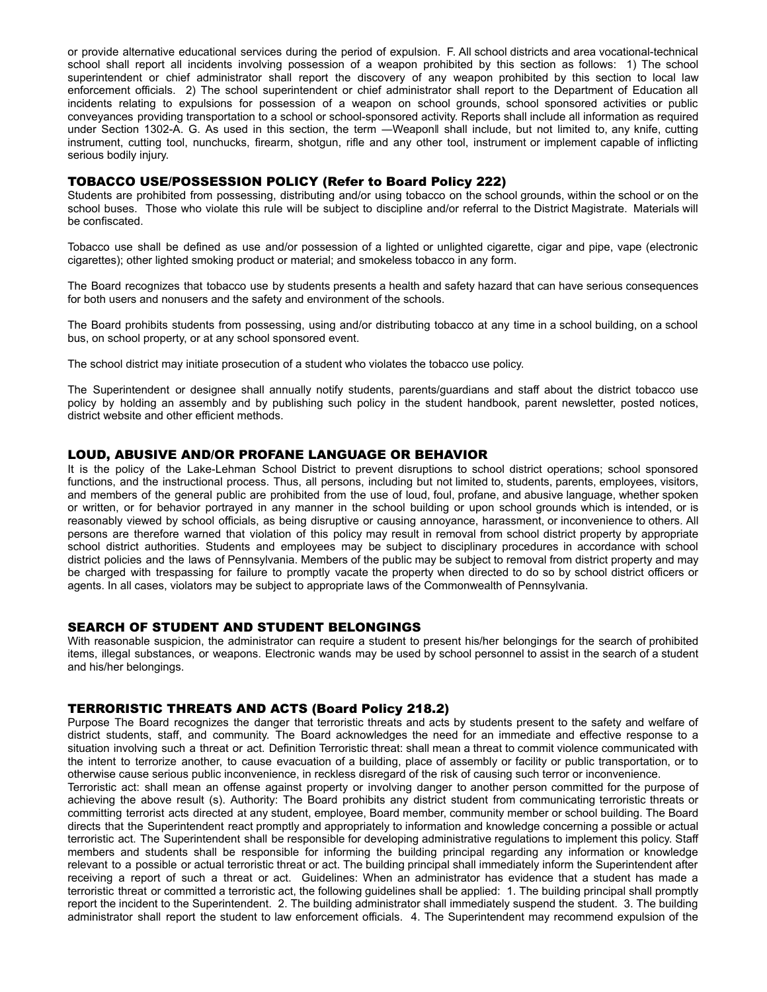or provide alternative educational services during the period of expulsion. F. All school districts and area vocational-technical school shall report all incidents involving possession of a weapon prohibited by this section as follows: 1) The school superintendent or chief administrator shall report the discovery of any weapon prohibited by this section to local law enforcement officials. 2) The school superintendent or chief administrator shall report to the Department of Education all incidents relating to expulsions for possession of a weapon on school grounds, school sponsored activities or public conveyances providing transportation to a school or school-sponsored activity. Reports shall include all information as required under Section 1302-A. G. As used in this section, the term ―Weapon‖ shall include, but not limited to, any knife, cutting instrument, cutting tool, nunchucks, firearm, shotgun, rifle and any other tool, instrument or implement capable of inflicting serious bodily injury.

#### TOBACCO USE/POSSESSION POLICY (Refer to Board Policy 222)

Students are prohibited from possessing, distributing and/or using tobacco on the school grounds, within the school or on the school buses. Those who violate this rule will be subject to discipline and/or referral to the District Magistrate. Materials will be confiscated.

Tobacco use shall be defined as use and/or possession of a lighted or unlighted cigarette, cigar and pipe, vape (electronic cigarettes); other lighted smoking product or material; and smokeless tobacco in any form.

The Board recognizes that tobacco use by students presents a health and safety hazard that can have serious consequences for both users and nonusers and the safety and environment of the schools.

The Board prohibits students from possessing, using and/or distributing tobacco at any time in a school building, on a school bus, on school property, or at any school sponsored event.

The school district may initiate prosecution of a student who violates the tobacco use policy.

The Superintendent or designee shall annually notify students, parents/guardians and staff about the district tobacco use policy by holding an assembly and by publishing such policy in the student handbook, parent newsletter, posted notices, district website and other efficient methods.

#### LOUD, ABUSIVE AND/OR PROFANE LANGUAGE OR BEHAVIOR

It is the policy of the Lake-Lehman School District to prevent disruptions to school district operations; school sponsored functions, and the instructional process. Thus, all persons, including but not limited to, students, parents, employees, visitors, and members of the general public are prohibited from the use of loud, foul, profane, and abusive language, whether spoken or written, or for behavior portrayed in any manner in the school building or upon school grounds which is intended, or is reasonably viewed by school officials, as being disruptive or causing annoyance, harassment, or inconvenience to others. All persons are therefore warned that violation of this policy may result in removal from school district property by appropriate school district authorities. Students and employees may be subject to disciplinary procedures in accordance with school district policies and the laws of Pennsylvania. Members of the public may be subject to removal from district property and may be charged with trespassing for failure to promptly vacate the property when directed to do so by school district officers or agents. In all cases, violators may be subject to appropriate laws of the Commonwealth of Pennsylvania.

# SEARCH OF STUDENT AND STUDENT BELONGINGS

With reasonable suspicion, the administrator can require a student to present his/her belongings for the search of prohibited items, illegal substances, or weapons. Electronic wands may be used by school personnel to assist in the search of a student and his/her belongings.

# TERRORISTIC THREATS AND ACTS (Board Policy 218.2)

Purpose The Board recognizes the danger that terroristic threats and acts by students present to the safety and welfare of district students, staff, and community. The Board acknowledges the need for an immediate and effective response to a situation involving such a threat or act. Definition Terroristic threat: shall mean a threat to commit violence communicated with the intent to terrorize another, to cause evacuation of a building, place of assembly or facility or public transportation, or to otherwise cause serious public inconvenience, in reckless disregard of the risk of causing such terror or inconvenience.

Terroristic act: shall mean an offense against property or involving danger to another person committed for the purpose of achieving the above result (s). Authority: The Board prohibits any district student from communicating terroristic threats or committing terrorist acts directed at any student, employee, Board member, community member or school building. The Board directs that the Superintendent react promptly and appropriately to information and knowledge concerning a possible or actual terroristic act. The Superintendent shall be responsible for developing administrative regulations to implement this policy. Staff members and students shall be responsible for informing the building principal regarding any information or knowledge relevant to a possible or actual terroristic threat or act. The building principal shall immediately inform the Superintendent after receiving a report of such a threat or act. Guidelines: When an administrator has evidence that a student has made a terroristic threat or committed a terroristic act, the following guidelines shall be applied: 1. The building principal shall promptly report the incident to the Superintendent. 2. The building administrator shall immediately suspend the student. 3. The building administrator shall report the student to law enforcement officials. 4. The Superintendent may recommend expulsion of the